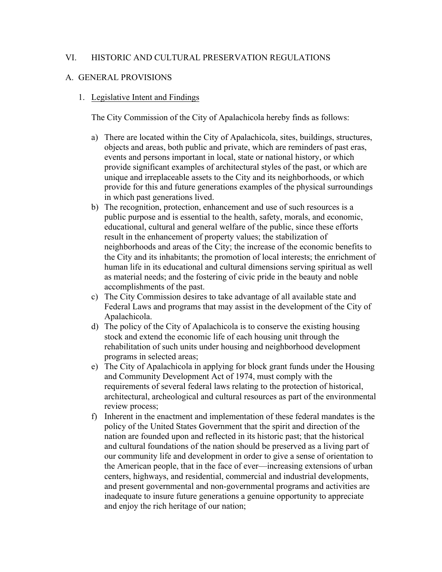## VI. HISTORIC AND CULTURAL PRESERVATION REGULATIONS

### A. GENERAL PROVISIONS

#### 1. Legislative Intent and Findings

The City Commission of the City of Apalachicola hereby finds as follows:

- a) There are located within the City of Apalachicola, sites, buildings, structures, objects and areas, both public and private, which are reminders of past eras, events and persons important in local, state or national history, or which provide significant examples of architectural styles of the past, or which are unique and irreplaceable assets to the City and its neighborhoods, or which provide for this and future generations examples of the physical surroundings in which past generations lived.
- b) The recognition, protection, enhancement and use of such resources is a public purpose and is essential to the health, safety, morals, and economic, educational, cultural and general welfare of the public, since these efforts result in the enhancement of property values; the stabilization of neighborhoods and areas of the City; the increase of the economic benefits to the City and its inhabitants; the promotion of local interests; the enrichment of human life in its educational and cultural dimensions serving spiritual as well as material needs; and the fostering of civic pride in the beauty and noble accomplishments of the past.
- c) The City Commission desires to take advantage of all available state and Federal Laws and programs that may assist in the development of the City of Apalachicola.
- d) The policy of the City of Apalachicola is to conserve the existing housing stock and extend the economic life of each housing unit through the rehabilitation of such units under housing and neighborhood development programs in selected areas;
- e) The City of Apalachicola in applying for block grant funds under the Housing and Community Development Act of 1974, must comply with the requirements of several federal laws relating to the protection of historical, architectural, archeological and cultural resources as part of the environmental review process;
- f) Inherent in the enactment and implementation of these federal mandates is the policy of the United States Government that the spirit and direction of the nation are founded upon and reflected in its historic past; that the historical and cultural foundations of the nation should be preserved as a living part of our community life and development in order to give a sense of orientation to the American people, that in the face of ever—increasing extensions of urban centers, highways, and residential, commercial and industrial developments, and present governmental and non-governmental programs and activities are inadequate to insure future generations a genuine opportunity to appreciate and enjoy the rich heritage of our nation;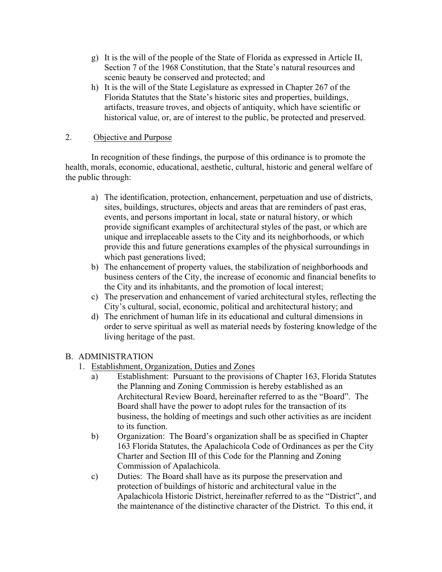- g) It is the will of the people of the State of Florida as expressed in Article II, Section 7 of the 1968 Constitution, that the State's natural resources and scenic beauty be conserved and protected; and
- h) It is the will of the State Legislature as expressed in Chapter 267 of the Florida Statutes that the State's historic sites and properties, buildings, artifacts, treasure troves, and objects of antiquity, which have scientific or historical value, or, are of interest to the public, be protected and preserved.

## 2. Objective and Purpose

In recognition of these findings, the purpose of this ordinance is to promote the health, morals, economic, educational, aesthetic, cultural, historic and general welfare of the public through:

- a) The identification, protection, enhancement, perpetuation and use of districts, sites, buildings, structures, objects and areas that are reminders of past eras, events, and persons important in local, state or natural history, or which provide significant examples of architectural styles of the past, or which are unique and irreplaceable assets to the City and its neighborhoods, or which provide this and future generations examples of the physical surroundings in which past generations lived;
- b) The enhancement of property values, the stabilization of neighborhoods and business centers of the City, the increase of economic and financial benefits to the City and its inhabitants, and the promotion of local interest;
- c) The preservation and enhancement of varied architectural styles, reflecting the City's cultural, social, economic, political and architectural history; and
- d) The enrichment of human life in its educational and cultural dimensions in order to serve spiritual as well as material needs by fostering knowledge of the living heritage of the past.

# B. ADMINISTRATION

- 1. Establishment, Organization, Duties and Zones
	- a) Establishment: Pursuant to the provisions of Chapter 163, Florida Statutes the Planning and Zoning Commission is hereby established as an Architectural Review Board, hereinafter referred to as the "Board". The Board shall have the power to adopt rules for the transaction of its business, the holding of meetings and such other activities as are incident to its function.
	- b) Organization: The Board's organization shall be as specified in Chapter 163 Florida Statutes, the Apalachicola Code of Ordinances as per the City Charter and Section III of this Code for the Planning and Zoning Commission of Apalachicola.
	- c) Duties: The Board shall have as its purpose the preservation and protection of buildings of historic and architectural value in the Apalachicola Historic District, hereinafter referred to as the "District", and the maintenance of the distinctive character of the District. To this end, it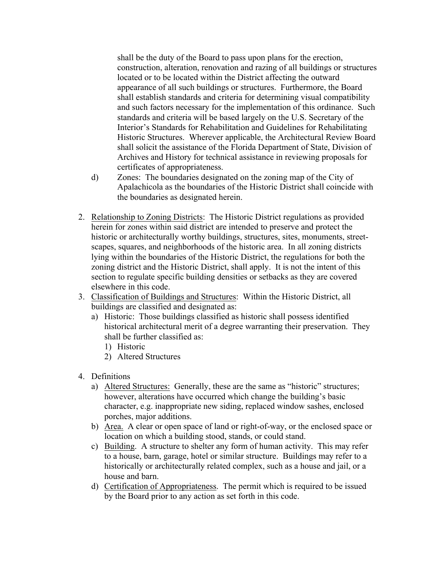shall be the duty of the Board to pass upon plans for the erection, construction, alteration, renovation and razing of all buildings or structures located or to be located within the District affecting the outward appearance of all such buildings or structures. Furthermore, the Board shall establish standards and criteria for determining visual compatibility and such factors necessary for the implementation of this ordinance. Such standards and criteria will be based largely on the U.S. Secretary of the Interior's Standards for Rehabilitation and Guidelines for Rehabilitating Historic Structures. Wherever applicable, the Architectural Review Board shall solicit the assistance of the Florida Department of State, Division of Archives and History for technical assistance in reviewing proposals for certificates of appropriateness.

- d) Zones: The boundaries designated on the zoning map of the City of Apalachicola as the boundaries of the Historic District shall coincide with the boundaries as designated herein.
- 2. Relationship to Zoning Districts: The Historic District regulations as provided herein for zones within said district are intended to preserve and protect the historic or architecturally worthy buildings, structures, sites, monuments, streetscapes, squares, and neighborhoods of the historic area. In all zoning districts lying within the boundaries of the Historic District, the regulations for both the zoning district and the Historic District, shall apply. It is not the intent of this section to regulate specific building densities or setbacks as they are covered elsewhere in this code.
- 3. Classification of Buildings and Structures: Within the Historic District, all buildings are classified and designated as:
	- a) Historic: Those buildings classified as historic shall possess identified historical architectural merit of a degree warranting their preservation. They shall be further classified as:
		- 1) Historic
		- 2) Altered Structures
- 4. Definitions
	- a) Altered Structures: Generally, these are the same as "historic" structures; however, alterations have occurred which change the building's basic character, e.g. inappropriate new siding, replaced window sashes, enclosed porches, major additions.
	- b) Area. A clear or open space of land or right-of-way, or the enclosed space or location on which a building stood, stands, or could stand.
	- c) Building. A structure to shelter any form of human activity. This may refer to a house, barn, garage, hotel or similar structure. Buildings may refer to a historically or architecturally related complex, such as a house and jail, or a house and barn.
	- d) Certification of Appropriateness. The permit which is required to be issued by the Board prior to any action as set forth in this code.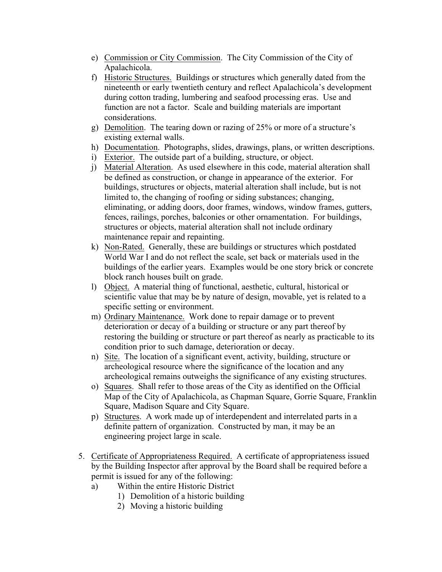- e) Commission or City Commission. The City Commission of the City of Apalachicola.
- f) Historic Structures. Buildings or structures which generally dated from the nineteenth or early twentieth century and reflect Apalachicola's development during cotton trading, lumbering and seafood processing eras. Use and function are not a factor. Scale and building materials are important considerations.
- g) Demolition. The tearing down or razing of 25% or more of a structure's existing external walls.
- h) Documentation. Photographs, slides, drawings, plans, or written descriptions.
- i) Exterior. The outside part of a building, structure, or object.
- j) Material Alteration. As used elsewhere in this code, material alteration shall be defined as construction, or change in appearance of the exterior. For buildings, structures or objects, material alteration shall include, but is not limited to, the changing of roofing or siding substances; changing, eliminating, or adding doors, door frames, windows, window frames, gutters, fences, railings, porches, balconies or other ornamentation. For buildings, structures or objects, material alteration shall not include ordinary maintenance repair and repainting.
- k) Non-Rated. Generally, these are buildings or structures which postdated World War I and do not reflect the scale, set back or materials used in the buildings of the earlier years. Examples would be one story brick or concrete block ranch houses built on grade.
- l) Object. A material thing of functional, aesthetic, cultural, historical or scientific value that may be by nature of design, movable, yet is related to a specific setting or environment.
- m) Ordinary Maintenance. Work done to repair damage or to prevent deterioration or decay of a building or structure or any part thereof by restoring the building or structure or part thereof as nearly as practicable to its condition prior to such damage, deterioration or decay.
- n) Site. The location of a significant event, activity, building, structure or archeological resource where the significance of the location and any archeological remains outweighs the significance of any existing structures.
- o) Squares. Shall refer to those areas of the City as identified on the Official Map of the City of Apalachicola, as Chapman Square, Gorrie Square, Franklin Square, Madison Square and City Square.
- p) Structures. A work made up of interdependent and interrelated parts in a definite pattern of organization. Constructed by man, it may be an engineering project large in scale.
- 5. Certificate of Appropriateness Required. A certificate of appropriateness issued by the Building Inspector after approval by the Board shall be required before a permit is issued for any of the following:
	- a) Within the entire Historic District
		- 1) Demolition of a historic building
		- 2) Moving a historic building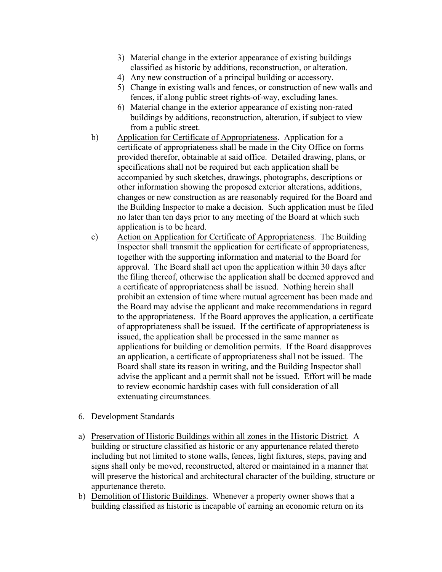- 3) Material change in the exterior appearance of existing buildings classified as historic by additions, reconstruction, or alteration.
- 4) Any new construction of a principal building or accessory.
- 5) Change in existing walls and fences, or construction of new walls and fences, if along public street rights-of-way, excluding lanes.
- 6) Material change in the exterior appearance of existing non-rated buildings by additions, reconstruction, alteration, if subject to view from a public street.
- b) Application for Certificate of Appropriateness. Application for a certificate of appropriateness shall be made in the City Office on forms provided therefor, obtainable at said office. Detailed drawing, plans, or specifications shall not be required but each application shall be accompanied by such sketches, drawings, photographs, descriptions or other information showing the proposed exterior alterations, additions, changes or new construction as are reasonably required for the Board and the Building Inspector to make a decision. Such application must be filed no later than ten days prior to any meeting of the Board at which such application is to be heard.
- c) Action on Application for Certificate of Appropriateness. The Building Inspector shall transmit the application for certificate of appropriateness, together with the supporting information and material to the Board for approval. The Board shall act upon the application within 30 days after the filing thereof, otherwise the application shall be deemed approved and a certificate of appropriateness shall be issued. Nothing herein shall prohibit an extension of time where mutual agreement has been made and the Board may advise the applicant and make recommendations in regard to the appropriateness. If the Board approves the application, a certificate of appropriateness shall be issued. If the certificate of appropriateness is issued, the application shall be processed in the same manner as applications for building or demolition permits. If the Board disapproves an application, a certificate of appropriateness shall not be issued. The Board shall state its reason in writing, and the Building Inspector shall advise the applicant and a permit shall not be issued. Effort will be made to review economic hardship cases with full consideration of all extenuating circumstances.
- 6. Development Standards
- a) Preservation of Historic Buildings within all zones in the Historic District. A building or structure classified as historic or any appurtenance related thereto including but not limited to stone walls, fences, light fixtures, steps, paving and signs shall only be moved, reconstructed, altered or maintained in a manner that will preserve the historical and architectural character of the building, structure or appurtenance thereto.
- b) Demolition of Historic Buildings. Whenever a property owner shows that a building classified as historic is incapable of earning an economic return on its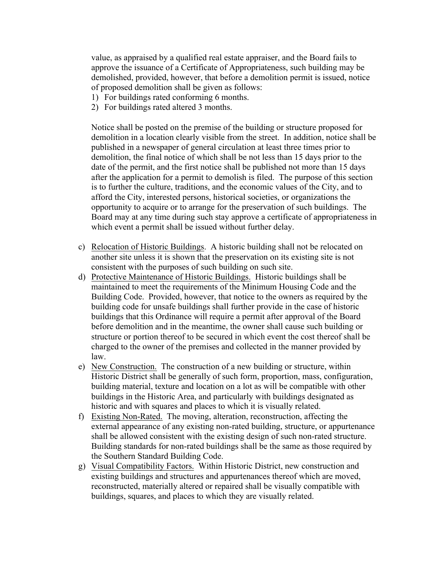value, as appraised by a qualified real estate appraiser, and the Board fails to approve the issuance of a Certificate of Appropriateness, such building may be demolished, provided, however, that before a demolition permit is issued, notice of proposed demolition shall be given as follows:

- 1) For buildings rated conforming 6 months.
- 2) For buildings rated altered 3 months.

Notice shall be posted on the premise of the building or structure proposed for demolition in a location clearly visible from the street. In addition, notice shall be published in a newspaper of general circulation at least three times prior to demolition, the final notice of which shall be not less than 15 days prior to the date of the permit, and the first notice shall be published not more than 15 days after the application for a permit to demolish is filed. The purpose of this section is to further the culture, traditions, and the economic values of the City, and to afford the City, interested persons, historical societies, or organizations the opportunity to acquire or to arrange for the preservation of such buildings. The Board may at any time during such stay approve a certificate of appropriateness in which event a permit shall be issued without further delay.

- c) Relocation of Historic Buildings. A historic building shall not be relocated on another site unless it is shown that the preservation on its existing site is not consistent with the purposes of such building on such site.
- d) Protective Maintenance of Historic Buildings. Historic buildings shall be maintained to meet the requirements of the Minimum Housing Code and the Building Code. Provided, however, that notice to the owners as required by the building code for unsafe buildings shall further provide in the case of historic buildings that this Ordinance will require a permit after approval of the Board before demolition and in the meantime, the owner shall cause such building or structure or portion thereof to be secured in which event the cost thereof shall be charged to the owner of the premises and collected in the manner provided by law.
- e) New Construction. The construction of a new building or structure, within Historic District shall be generally of such form, proportion, mass, configuration, building material, texture and location on a lot as will be compatible with other buildings in the Historic Area, and particularly with buildings designated as historic and with squares and places to which it is visually related.
- f) Existing Non-Rated. The moving, alteration, reconstruction, affecting the external appearance of any existing non-rated building, structure, or appurtenance shall be allowed consistent with the existing design of such non-rated structure. Building standards for non-rated buildings shall be the same as those required by the Southern Standard Building Code.
- g) Visual Compatibility Factors. Within Historic District, new construction and existing buildings and structures and appurtenances thereof which are moved, reconstructed, materially altered or repaired shall be visually compatible with buildings, squares, and places to which they are visually related.